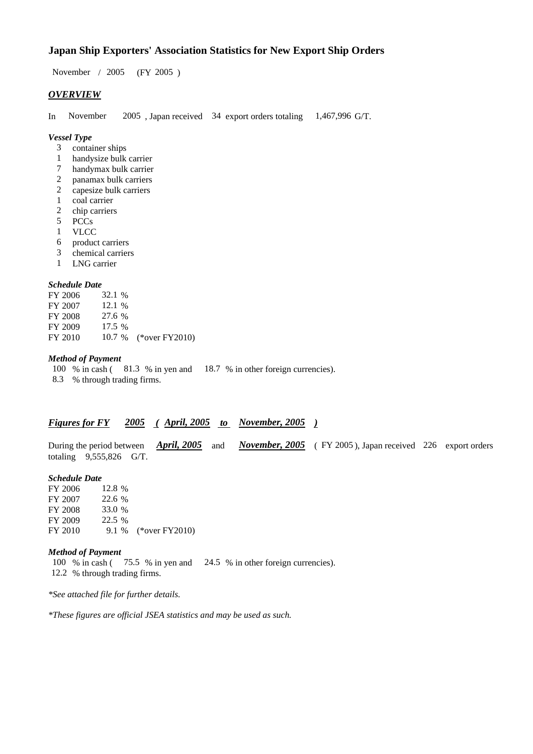## **Japan Ship Exporters' Association Statistics for New Export Ship Orders**

November / 2005 (FY 2005 )

## *OVERVIEW*

In November 2005 , Japan received 34 export orders totaling 1,467,996 G/T.

### *Vessel Type*

- 3 container ships
- 1 handysize bulk carrier
- 7 handymax bulk carrier
- 2 panamax bulk carriers
- 2 capesize bulk carriers<br>1 coal carrier
- coal carrier
- 2 chip carriers
- 5 PCCs<br>1 VLCC
- VLCC
- 6 product carriers
- 3 chemical carriers
- 1 LNG carrier

### *Schedule Date*

| FY 2006 | 32.1 %   |                       |
|---------|----------|-----------------------|
| FY 2007 | 12.1%    |                       |
| FY 2008 | 27.6 %   |                       |
| FY 2009 | $17.5\%$ |                       |
| FY 2010 |          | 10.7 % (*over FY2010) |

## *Method of Payment*

100 % in cash ( 81.3 % in yen and 18.7 % in other foreign currencies). 8.3 % through trading firms.

## *Figures for FY 2005 ( April, 2005 to November, 2005 )*

During the period between *April, 2005* and *November, 2005* (FY 2005), Japan received 226 export orders totaling 9,555,826 G/T.

*Schedule Date* FY 2006 FY 2007 22.6 % FY 2008 33.0 % FY 2009 22.5 % FY 2010 9.1 % (\*over FY2010)

## *Method of Payment*

100 % in cash ( 75.5 % in yen and 24.5 % in other foreign currencies). 12.2 % through trading firms.

*\*See attached file for further details.*

*\*These figures are official JSEA statistics and may be used as such.*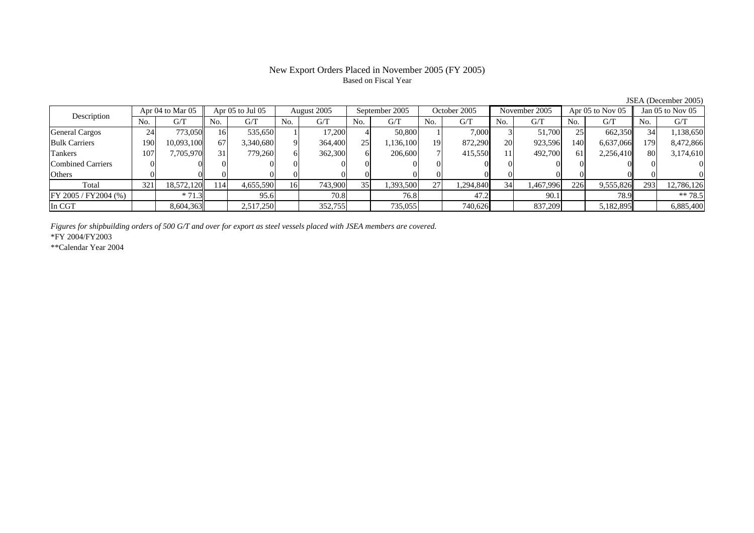## Based on Fiscal Year

Description Apr 04 to Mar 05 Apr 05 to Jul 05 August 2005 September 2005 October 2005 November 2005 Apr 05 to Nov 05 Jan 05 to Nov 05<br>No. 1 G/T No. 1 G/T No. 1 G/T No. 1 G/T No. 1 G/T No. 1 G/T No. 1 G/T No. 1 G/T No. 1 G/  $No.$   $G/T$ T || No. | G/T || No. | G/T || No. | G/T || No. | G/T || G/T || No. | G/T || No. | G/T || No. | G/T General Cargos | 24 | 773,050 || 16 | 535,650 | 1| 17,200 | 4 | 50,800 | 1 | 7,000 | 3 | 51,700 | 25 | 662,350 || 34 | 1,138,650 Bulk Carriers 1900| 10,093,100|| 67| 3,340,680| 9| 364,400| 25| 1,136,100| 19| 872,290| 20| 923,596| 140| 6,637,066|| 179| 8,472,866 Tankers 1077| 7,705,970|| 31| 779,260| 6| 362,300| 6| 206,600| 7| 415,550| 11| 492,700| 61| 2,256,410|| 80| 3,174,610 Combined Carriers 1 0 0 0 0 0 0 0 0 0 0 0 0 0 0 0 0 **Others** s and  $\vert 0$  0 0 0 0 0 0 0 0 0 0 0 0 0 0 0 Total 321 18,572,120 114 4,655,590 16 743,900 35 1,393,500 27 1,294,840 34 1,467,996 226 9,555,826 293 12,786,126 FY 2005 / FY2004 (%) \* 71.3 95.6 70.8 76.8 47.2 90.1 78.9 \*\* 78.5 In CGT8,604,363 2,517,250 352,755 735,055 740,626 837,209 5,182,895 6,885,400

*Figures for shipbuilding orders of 500 G/T and over for export as steel vessels placed with JSEA members are covered.*

\*FY 2004/FY2003

\*\*Calendar Year 2004

JSEA (December 2005)

# New Export Orders Placed in November 2005 (FY 2005)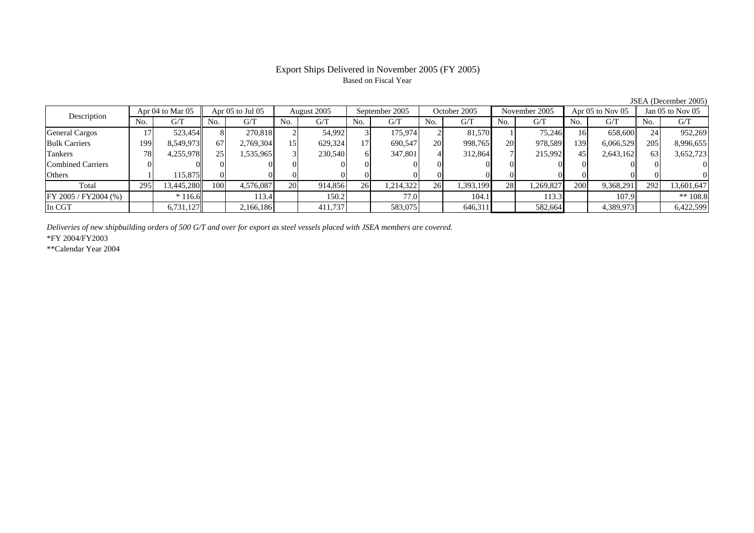## Export Ships Delivered in November 2005 (FY 2005) Based on Fiscal Year

JSEA (December 2005)

| Apr 04 to Mar 05<br>Description |     |            | Apr 05 to Jul 05 |           | August 2005 |         | September 2005 |           | October 2005 |           | November 2005 |           | Apr 05 to Nov 05 |           | Jan $05$ to Nov $05$ |            |
|---------------------------------|-----|------------|------------------|-----------|-------------|---------|----------------|-----------|--------------|-----------|---------------|-----------|------------------|-----------|----------------------|------------|
|                                 | No. | G/T        | No.              | G/T       | No.         | G/T     | No.            | G/T       | No.          | G/T       | No.           | G/T       | No.              | G/T       | No.                  | G/T        |
| <b>General Cargos</b>           |     | 523,454    | 8                | 270,818   |             | 54,992  |                | 175.974   |              | 81.570    |               | 75.246    | 161              | 658,600   | 24                   | 952,269    |
| <b>Bulk Carriers</b>            | 199 | 8,549,973  | 67               | 2,769,304 | 15          | 629,324 | 17             | 690,547   | <b>20</b>    | 998,765   | 20            | 978,589   | 139              | 6,066,529 | 205                  | 8,996,655  |
| Tankers                         | 78  | 4,255,978  | 25 <sup>1</sup>  | 1,535,965 |             | 230,540 |                | 347,801   |              | 312,864   |               | 215,992   | 45               | 2,643,162 | 63                   | 3,652,723  |
| <b>Combined Carriers</b>        |     |            |                  |           |             |         |                |           |              |           |               |           |                  |           |                      |            |
| Others                          |     | 115.875    |                  |           |             |         |                |           |              |           |               |           |                  |           |                      |            |
| Total                           | 295 | 13,445,280 | 100              | 4,576,087 | <b>20</b>   | 914,856 | 26             | 1,214,322 | 26           | 1,393,199 | 28            | 1,269,827 | 200              | 9,368,291 | 292                  | 13,601,647 |
| FY 2005 / FY 2004 (%)           |     | $*116.6$   |                  | 113.4     |             | 150.2   |                | 77.0      |              | 104.1     |               | 113.3     |                  | 107.9     |                      | ** $108.8$ |
| In CGT                          |     | 6,731,127  |                  | 2,166,186 |             | 411,737 |                | 583,075   |              | 646,311   |               | 582,664   |                  | 4,389,973 |                      | 6,422,599  |

*Deliveries of new shipbuilding orders of 500 G/T and over for export as steel vessels placed with JSEA members are covered.*

\*FY 2004/FY2003

\*\*Calendar Year 2004